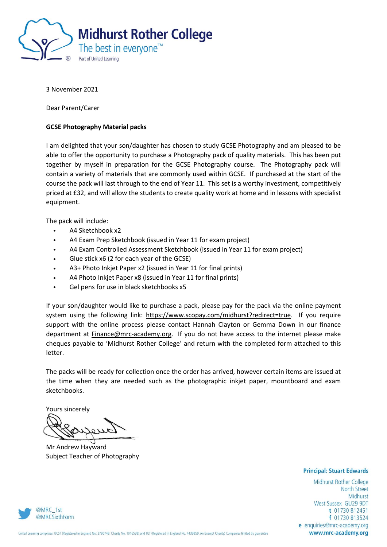

3 November 2021

Dear Parent/Carer

## **GCSE Photography Material packs**

I am delighted that your son/daughter has chosen to study GCSE Photography and am pleased to be able to offer the opportunity to purchase a Photography pack of quality materials. This has been put together by myself in preparation for the GCSE Photography course. The Photography pack will contain a variety of materials that are commonly used within GCSE. If purchased at the start of the course the pack will last through to the end of Year 11. This set is a worthy investment, competitively priced at £32, and will allow the students to create quality work at home and in lessons with specialist equipment.

The pack will include:

- A4 Sketchbook x2
- A4 Exam Prep Sketchbook (issued in Year 11 for exam project)
- A4 Exam Controlled Assessment Sketchbook (issued in Year 11 for exam project)
- Glue stick x6 (2 for each year of the GCSE)
- A3+ Photo Inkjet Paper x2 (issued in Year 11 for final prints)
- A4 Photo Inkjet Paper x8 (issued in Year 11 for final prints)
- Gel pens for use in black sketchbooks x5

If your son/daughter would like to purchase a pack, please pay for the pack via the online payment system using the following link: [https://www.scopay.com/midhurst?redirect=true.](https://www.scopay.com/midhurst?redirect=true) If you require support with the online process please contact Hannah Clayton or Gemma Down in our finance department at Finance@mrc-academy.org. If you do not have access to the internet please make cheques payable to 'Midhurst Rother College' and return with the completed form attached to this letter.

The packs will be ready for collection once the order has arrived, however certain items are issued at the time when they are needed such as the photographic inkjet paper, mountboard and exam sketchbooks.

Yours sincerely

Mr Andrew Hayward Subject Teacher of Photography

## **Principal: Stuart Edwards**

Midhurst Rother College North Street Midhurst West Sussex GU29 9DT t 01730 812451 f 01730 813524 e enquiries@mrc-academy.org www.mrc-academy.org